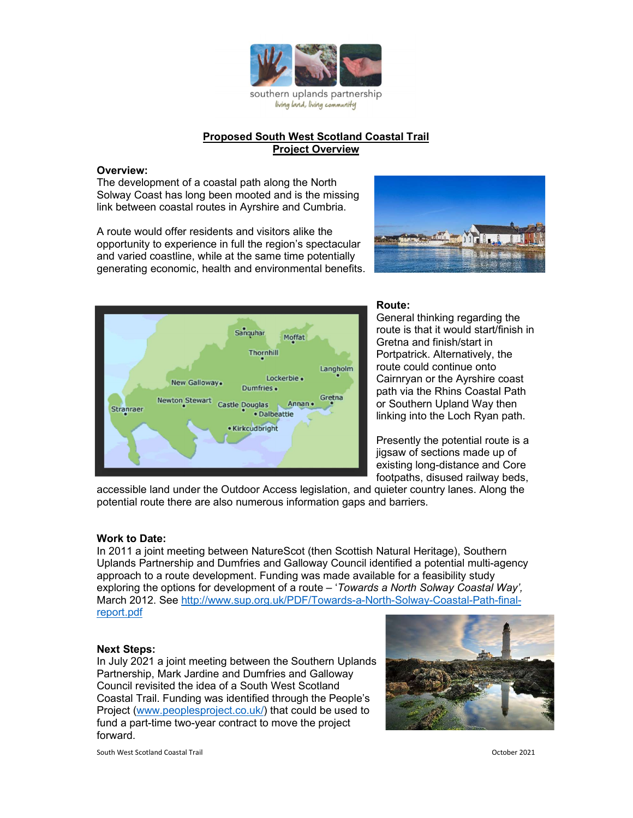

# Proposed South West Scotland Coastal Trail Project Overview

## Overview:

The development of a coastal path along the North Solway Coast has long been mooted and is the missing link between coastal routes in Ayrshire and Cumbria.

A route would offer residents and visitors alike the opportunity to experience in full the region's spectacular and varied coastline, while at the same time potentially generating economic, health and environmental benefits.





#### Route:

General thinking regarding the route is that it would start/finish in Gretna and finish/start in Portpatrick. Alternatively, the route could continue onto Cairnryan or the Ayrshire coast path via the Rhins Coastal Path or Southern Upland Way then linking into the Loch Ryan path.

Presently the potential route is a jigsaw of sections made up of existing long-distance and Core footpaths, disused railway beds,

accessible land under the Outdoor Access legislation, and quieter country lanes. Along the potential route there are also numerous information gaps and barriers.

### Work to Date:

In 2011 a joint meeting between NatureScot (then Scottish Natural Heritage), Southern Uplands Partnership and Dumfries and Galloway Council identified a potential multi-agency approach to a route development. Funding was made available for a feasibility study exploring the options for development of a route – 'Towards a North Solway Coastal Way', March 2012. See http://www.sup.org.uk/PDF/Towards-a-North-Solway-Coastal-Path-finalreport.pdf

#### Next Steps:

In July 2021 a joint meeting between the Southern Uplands Partnership, Mark Jardine and Dumfries and Galloway Council revisited the idea of a South West Scotland Coastal Trail. Funding was identified through the People's Project (www.peoplesproject.co.uk/) that could be used to fund a part-time two-year contract to move the project forward.



South West Scotland Coastal Trail October 2021